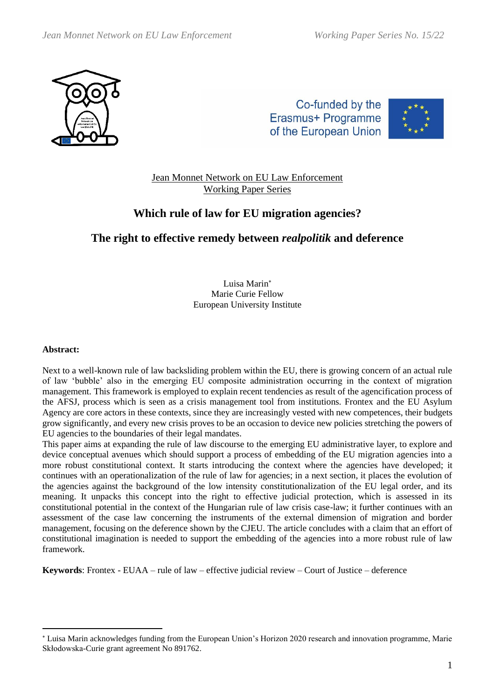

Co-funded by the Erasmus+ Programme of the European Union



Jean Monnet Network on EU Law Enforcement Working Paper Series

# **Which rule of law for EU migration agencies?**

## **The right to effective remedy between** *realpolitik* **and deference**

Luisa Marin Marie Curie Fellow European University Institute

#### **Abstract:**

Next to a well-known rule of law backsliding problem within the EU, there is growing concern of an actual rule of law 'bubble' also in the emerging EU composite administration occurring in the context of migration management. This framework is employed to explain recent tendencies as result of the agencification process of the AFSJ, process which is seen as a crisis management tool from institutions. Frontex and the EU Asylum Agency are core actors in these contexts, since they are increasingly vested with new competences, their budgets grow significantly, and every new crisis proves to be an occasion to device new policies stretching the powers of EU agencies to the boundaries of their legal mandates.

This paper aims at expanding the rule of law discourse to the emerging EU administrative layer, to explore and device conceptual avenues which should support a process of embedding of the EU migration agencies into a more robust constitutional context. It starts introducing the context where the agencies have developed; it continues with an operationalization of the rule of law for agencies; in a next section, it places the evolution of the agencies against the background of the low intensity constitutionalization of the EU legal order, and its meaning. It unpacks this concept into the right to effective judicial protection, which is assessed in its constitutional potential in the context of the Hungarian rule of law crisis case-law; it further continues with an assessment of the case law concerning the instruments of the external dimension of migration and border management, focusing on the deference shown by the CJEU. The article concludes with a claim that an effort of constitutional imagination is needed to support the embedding of the agencies into a more robust rule of law framework.

**Keywords**: Frontex - EUAA – rule of law – effective judicial review – Court of Justice – deference

Luisa Marin acknowledges funding from the European Union's Horizon 2020 research and innovation programme, Marie Skłodowska-Curie grant agreement No 891762.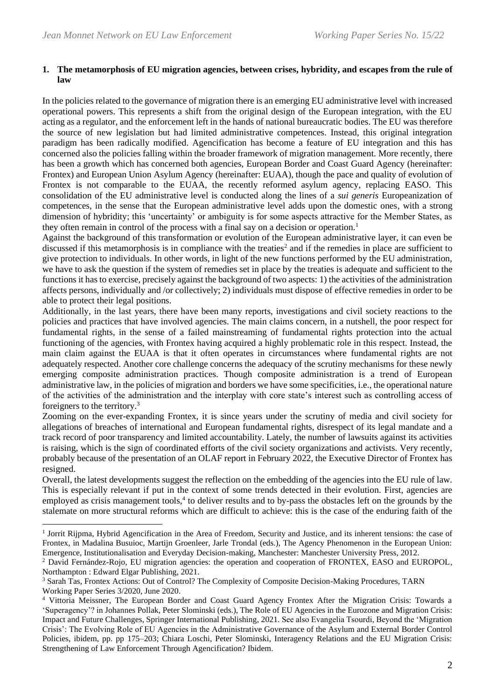### **1. The metamorphosis of EU migration agencies, between crises, hybridity, and escapes from the rule of law**

In the policies related to the governance of migration there is an emerging EU administrative level with increased operational powers. This represents a shift from the original design of the European integration, with the EU acting as a regulator, and the enforcement left in the hands of national bureaucratic bodies. The EU was therefore the source of new legislation but had limited administrative competences. Instead, this original integration paradigm has been radically modified. Agencification has become a feature of EU integration and this has concerned also the policies falling within the broader framework of migration management. More recently, there has been a growth which has concerned both agencies, European Border and Coast Guard Agency (hereinafter: Frontex) and European Union Asylum Agency (hereinafter: EUAA), though the pace and quality of evolution of Frontex is not comparable to the EUAA, the recently reformed asylum agency, replacing EASO. This consolidation of the EU administrative level is conducted along the lines of a *sui generis* Europeanization of competences, in the sense that the European administrative level adds upon the domestic ones, with a strong dimension of hybridity; this 'uncertainty' or ambiguity is for some aspects attractive for the Member States, as they often remain in control of the process with a final say on a decision or operation.<sup>1</sup>

Against the background of this transformation or evolution of the European administrative layer, it can even be discussed if this metamorphosis is in compliance with the treaties<sup>2</sup> and if the remedies in place are sufficient to give protection to individuals. In other words, in light of the new functions performed by the EU administration, we have to ask the question if the system of remedies set in place by the treaties is adequate and sufficient to the functions it has to exercise, precisely against the background of two aspects: 1) the activities of the administration affects persons, individually and /or collectively; 2) individuals must dispose of effective remedies in order to be able to protect their legal positions.

Additionally, in the last years, there have been many reports, investigations and civil society reactions to the policies and practices that have involved agencies. The main claims concern, in a nutshell, the poor respect for fundamental rights, in the sense of a failed mainstreaming of fundamental rights protection into the actual functioning of the agencies, with Frontex having acquired a highly problematic role in this respect. Instead, the main claim against the EUAA is that it often operates in circumstances where fundamental rights are not adequately respected. Another core challenge concerns the adequacy of the scrutiny mechanisms for these newly emerging composite administration practices. Though composite administration is a trend of European administrative law, in the policies of migration and borders we have some specificities, i.e., the operational nature of the activities of the administration and the interplay with core state's interest such as controlling access of foreigners to the territory.<sup>3</sup>

Zooming on the ever-expanding Frontex, it is since years under the scrutiny of media and civil society for allegations of breaches of international and European fundamental rights, disrespect of its legal mandate and a track record of poor transparency and limited accountability. Lately, the number of lawsuits against its activities is raising, which is the sign of coordinated efforts of the civil society organizations and activists. Very recently, probably because of the presentation of an OLAF report in February 2022, the Executive Director of Frontex has resigned.

Overall, the latest developments suggest the reflection on the embedding of the agencies into the EU rule of law. This is especially relevant if put in the context of some trends detected in their evolution. First, agencies are employed as crisis management tools,<sup>4</sup> to deliver results and to by-pass the obstacles left on the grounds by the stalemate on more structural reforms which are difficult to achieve: this is the case of the enduring faith of the

<sup>&</sup>lt;sup>1</sup> Jorrit Rijpma, Hybrid Agencification in the Area of Freedom, Security and Justice, and its inherent tensions: the case of Frontex, in Madalina Busuioc, Martijn Groenleer, Jarle Trondal (eds.), The Agency Phenomenon in the European Union: Emergence, Institutionalisation and Everyday Decision-making, Manchester: Manchester University Press, 2012.

<sup>2</sup> David Fernández-Rojo, EU migration agencies: the operation and cooperation of FRONTEX, EASO and EUROPOL, Northampton : Edward Elgar Publishing, 2021.

<sup>&</sup>lt;sup>3</sup> Sarah Tas, Frontex Actions: Out of Control? The Complexity of Composite Decision-Making Procedures, TARN Working Paper Series 3/2020, June 2020.

<sup>4</sup> Vittoria Meissner, The European Border and Coast Guard Agency Frontex After the Migration Crisis: Towards a 'Superagency'? in Johannes Pollak, Peter Slominski (eds.), The Role of EU Agencies in the Eurozone and Migration Crisis: Impact and Future Challenges, Springer International Publishing, 2021. See also Evangelia Tsourdi, Beyond the 'Migration Crisis': The Evolving Role of EU Agencies in the Administrative Governance of the Asylum and External Border Control Policies, ibidem, pp. pp 175–203; Chiara Loschi, Peter Slominski, Interagency Relations and the EU Migration Crisis: Strengthening of Law Enforcement Through Agencification? Ibidem.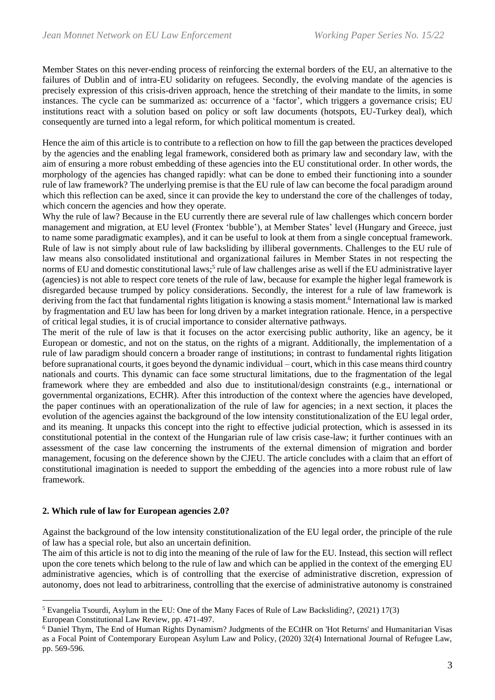Member States on this never-ending process of reinforcing the external borders of the EU, an alternative to the failures of Dublin and of intra-EU solidarity on refugees. Secondly, the evolving mandate of the agencies is precisely expression of this crisis-driven approach, hence the stretching of their mandate to the limits, in some instances. The cycle can be summarized as: occurrence of a 'factor', which triggers a governance crisis; EU institutions react with a solution based on policy or soft law documents (hotspots, EU-Turkey deal), which consequently are turned into a legal reform, for which political momentum is created.

Hence the aim of this article is to contribute to a reflection on how to fill the gap between the practices developed by the agencies and the enabling legal framework, considered both as primary law and secondary law, with the aim of ensuring a more robust embedding of these agencies into the EU constitutional order. In other words, the morphology of the agencies has changed rapidly: what can be done to embed their functioning into a sounder rule of law framework? The underlying premise is that the EU rule of law can become the focal paradigm around which this reflection can be axed, since it can provide the key to understand the core of the challenges of today, which concern the agencies and how they operate.

Why the rule of law? Because in the EU currently there are several rule of law challenges which concern border management and migration, at EU level (Frontex 'bubble'), at Member States' level (Hungary and Greece, just to name some paradigmatic examples), and it can be useful to look at them from a single conceptual framework. Rule of law is not simply about rule of law backsliding by illiberal governments. Challenges to the EU rule of law means also consolidated institutional and organizational failures in Member States in not respecting the norms of EU and domestic constitutional laws; 5 rule of law challenges arise as well if the EU administrative layer (agencies) is not able to respect core tenets of the rule of law, because for example the higher legal framework is disregarded because trumped by policy considerations. Secondly, the interest for a rule of law framework is deriving from the fact that fundamental rights litigation is knowing a stasis moment.<sup>6</sup> International law is marked by fragmentation and EU law has been for long driven by a market integration rationale. Hence, in a perspective of critical legal studies, it is of crucial importance to consider alternative pathways.

The merit of the rule of law is that it focuses on the actor exercising public authority, like an agency, be it European or domestic, and not on the status, on the rights of a migrant. Additionally, the implementation of a rule of law paradigm should concern a broader range of institutions; in contrast to fundamental rights litigation before supranational courts, it goes beyond the dynamic individual – court, which in this case means third country nationals and courts. This dynamic can face some structural limitations, due to the fragmentation of the legal framework where they are embedded and also due to institutional/design constraints (e.g., international or governmental organizations, ECHR). After this introduction of the context where the agencies have developed, the paper continues with an operationalization of the rule of law for agencies; in a next section, it places the evolution of the agencies against the background of the low intensity constitutionalization of the EU legal order, and its meaning. It unpacks this concept into the right to effective judicial protection, which is assessed in its constitutional potential in the context of the Hungarian rule of law crisis case-law; it further continues with an assessment of the case law concerning the instruments of the external dimension of migration and border management, focusing on the deference shown by the CJEU. The article concludes with a claim that an effort of constitutional imagination is needed to support the embedding of the agencies into a more robust rule of law framework.

## **2. Which rule of law for European agencies 2.0?**

Against the background of the low intensity constitutionalization of the EU legal order, the principle of the rule of law has a special role, but also an uncertain definition.

The aim of this article is not to dig into the meaning of the rule of law for the EU. Instead, this section will reflect upon the core tenets which belong to the rule of law and which can be applied in the context of the emerging EU administrative agencies, which is of controlling that the exercise of administrative discretion, expression of autonomy, does not lead to arbitrariness, controlling that the exercise of administrative autonomy is constrained

<sup>5</sup> Evangelia Tsourdi, Asylum in the EU: One of the Many Faces of Rule of Law Backsliding?, (2021) 17(3) European Constitutional Law Review, pp. 471-497.

<sup>6</sup> Daniel Thym, The End of Human Rights Dynamism? Judgments of the ECtHR on 'Hot Returns' and Humanitarian Visas as a Focal Point of Contemporary European Asylum Law and Policy, (2020) 32(4) International Journal of Refugee Law, pp. 569-596.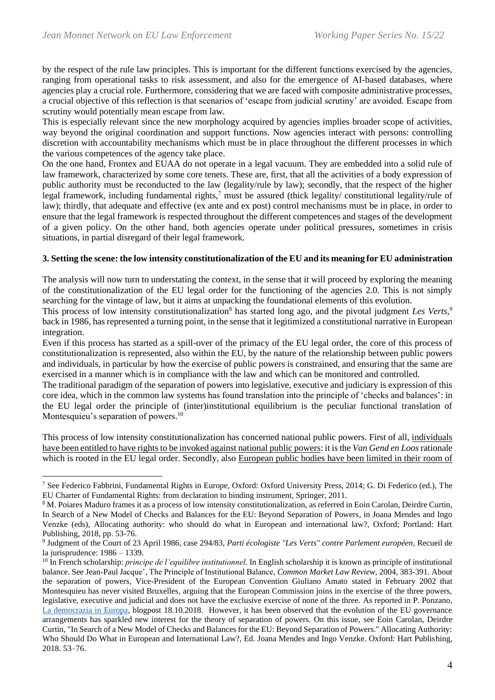by the respect of the rule law principles. This is important for the different functions exercised by the agencies, ranging from operational tasks to risk assessment, and also for the emergence of AI-based databases, where agencies play a crucial role. Furthermore, considering that we are faced with composite administrative processes, a crucial objective of this reflection is that scenarios of 'escape from judicial scrutiny' are avoided. Escape from scrutiny would potentially mean escape from law.

This is especially relevant since the new morphology acquired by agencies implies broader scope of activities, way beyond the original coordination and support functions. Now agencies interact with persons: controlling discretion with accountability mechanisms which must be in place throughout the different processes in which the various competences of the agency take place.

On the one hand, Frontex and EUAA do not operate in a legal vacuum. They are embedded into a solid rule of law framework, characterized by some core tenets. These are, first, that all the activities of a body expression of public authority must be reconducted to the law (legality/rule by law); secondly, that the respect of the higher legal framework, including fundamental rights,<sup>7</sup> must be assured (thick legality/ constitutional legality/rule of law); thirdly, that adequate and effective (ex ante and ex post) control mechanisms must be in place, in order to ensure that the legal framework is respected throughout the different competences and stages of the development of a given policy. On the other hand, both agencies operate under political pressures, sometimes in crisis situations, in partial disregard of their legal framework.

## **3. Setting the scene: the low intensity constitutionalization of the EU and its meaning for EU administration**

The analysis will now turn to understating the context, in the sense that it will proceed by exploring the meaning of the constitutionalization of the EU legal order for the functioning of the agencies 2.0. This is not simply searching for the vintage of law, but it aims at unpacking the foundational elements of this evolution.

This process of low intensity constitutionalization<sup>8</sup> has started long ago, and the pivotal judgment Les Verts,<sup>9</sup> back in 1986, has represented a turning point, in the sense that it legitimized a constitutional narrative in European integration.

Even if this process has started as a spill-over of the primacy of the EU legal order, the core of this process of constitutionalization is represented, also within the EU, by the nature of the relationship between public powers and individuals, in particular by how the exercise of public powers is constrained, and ensuring that the same are exercised in a manner which is in compliance with the law and which can be monitored and controlled.

The traditional paradigm of the separation of powers into legislative, executive and judiciary is expression of this core idea, which in the common law systems has found translation into the principle of 'checks and balances': in the EU legal order the principle of (inter)institutional equilibrium is the peculiar functional translation of Montesquieu's separation of powers.<sup>10</sup>

This process of low intensity constitutionalization has concerned national public powers. First of all, individuals have been entitled to have rights to be invoked against national public powers: it is the *Van Gend en Loos*rationale which is rooted in the EU legal order. Secondly, also European public bodies have been limited in their room of

<sup>&</sup>lt;sup>7</sup> See Federico Fabbrini, Fundamental Rights in Europe, Oxford: Oxford University Press, 2014; G. Di Federico (ed.), The EU Charter of Fundamental Rights: from declaration to binding instrument, Springer, 2011.

<sup>8</sup> M. Poiares Maduro frames it as a process of low intensity constitutionalization, as referred in Eoin Carolan, Deirdre Curtin, In Search of a New Model of Checks and Balances for the EU: Beyond Separation of Powers, in Joana Mendes and Ingo Venzke (eds), Allocating authority: who should do what in European and international law?, Oxford; Portland: Hart Publishing, 2018, pp. 53-76.

<sup>9</sup> Judgment of the Court of 23 April 1986, case 294/83, *Parti écologiste "Les Verts" contre Parlement européen*, Recueil de la jurisprudence: 1986 – 1339.

<sup>10</sup> In French scholarship: *principe de l'equilibre institutionnel*. In English scholarship it is known as principle of institutional balance. See Jean-Paul Jacque', The Principle of Institutional Balance, *Common Market Law Review*, 2004, 383-391. About the separation of powers, Vice-President of the European Convention Giuliano Amato stated in February 2002 that Montesquieu has never visited Bruxelles, arguing that the European Commission joins in the exercise of the three powers, legislative, executive and judicial and does not have the exclusive exercise of none of the three. As reported in P. Ponzano, [La democrazia in Europa,](https://www.cespi.it/en/node/802) blogpost 18.10.2018. However, it has been observed that the evolution of the EU governance arrangements has sparkled new interest for the theory of separation of powers. On this issue, see Eoin Carolan, Deirdre Curtin, "In Search of a New Model of Checks and Balances for the EU: Beyond Separation of Powers." Allocating Authority: Who Should Do What in European and International Law?, Ed. Joana Mendes and Ingo Venzke. Oxford: Hart Publishing, 2018. 53–76.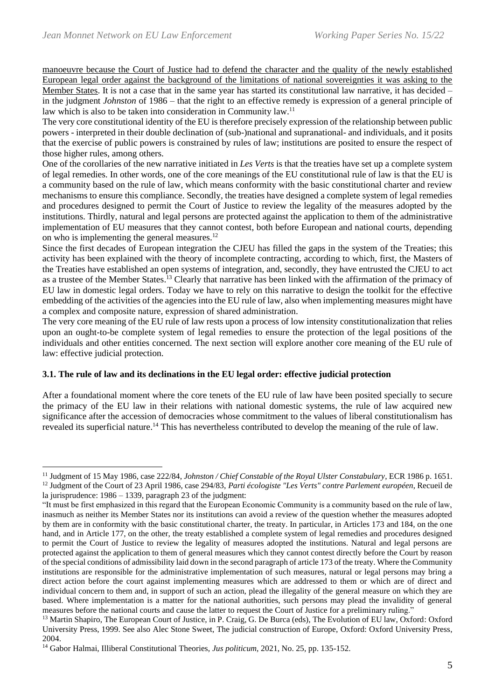manoeuvre because the Court of Justice had to defend the character and the quality of the newly established European legal order against the background of the limitations of national sovereignties it was asking to the Member States. It is not a case that in the same year has started its constitutional law narrative, it has decided – in the judgment *Johnston* of 1986 – that the right to an effective remedy is expression of a general principle of law which is also to be taken into consideration in Community law.<sup>11</sup>

The very core constitutional identity of the EU is therefore precisely expression of the relationship between public powers - interpreted in their double declination of (sub-)national and supranational- and individuals, and it posits that the exercise of public powers is constrained by rules of law; institutions are posited to ensure the respect of those higher rules, among others.

One of the corollaries of the new narrative initiated in *Les Verts* is that the treaties have set up a complete system of legal remedies. In other words, one of the core meanings of the EU constitutional rule of law is that the EU is a community based on the rule of law, which means conformity with the basic constitutional charter and review mechanisms to ensure this compliance. Secondly, the treaties have designed a complete system of legal remedies and procedures designed to permit the Court of Justice to review the legality of the measures adopted by the institutions. Thirdly, natural and legal persons are protected against the application to them of the administrative implementation of EU measures that they cannot contest, both before European and national courts, depending on who is implementing the general measures. $^{12}$ 

Since the first decades of European integration the CJEU has filled the gaps in the system of the Treaties; this activity has been explained with the theory of incomplete contracting, according to which, first, the Masters of the Treaties have established an open systems of integration, and, secondly, they have entrusted the CJEU to act as a trustee of the Member States.<sup>13</sup> Clearly that narrative has been linked with the affirmation of the primacy of EU law in domestic legal orders. Today we have to rely on this narrative to design the toolkit for the effective embedding of the activities of the agencies into the EU rule of law, also when implementing measures might have a complex and composite nature, expression of shared administration.

The very core meaning of the EU rule of law rests upon a process of low intensity constitutionalization that relies upon an ought-to-be complete system of legal remedies to ensure the protection of the legal positions of the individuals and other entities concerned. The next section will explore another core meaning of the EU rule of law: effective judicial protection.

## **3.1. The rule of law and its declinations in the EU legal order: effective judicial protection**

After a foundational moment where the core tenets of the EU rule of law have been posited specially to secure the primacy of the EU law in their relations with national domestic systems, the rule of law acquired new significance after the accession of democracies whose commitment to the values of liberal constitutionalism has revealed its superficial nature.<sup>14</sup> This has nevertheless contributed to develop the meaning of the rule of law.

<sup>11</sup> Judgment of 15 May 1986, case 222/84, *Johnston / Chief Constable of the Royal Ulster Constabulary*, ECR 1986 p. 1651.

<sup>12</sup> Judgment of the Court of 23 April 1986, case 294/83, *Parti écologiste "Les Verts" contre Parlement européen*, Recueil de la jurisprudence: 1986 – 1339, paragraph 23 of the judgment:

<sup>&</sup>quot;It must be first emphasized in this regard that the European Economic Community is a community based on the rule of law, inasmuch as neither its Member States nor its institutions can avoid a review of the question whether the measures adopted by them are in conformity with the basic constitutional charter, the treaty. In particular, in Articles 173 and 184, on the one hand, and in Article 177, on the other, the treaty established a complete system of legal remedies and procedures designed to permit the Court of Justice to review the legality of measures adopted the institutions. Natural and legal persons are protected against the application to them of general measures which they cannot contest directly before the Court by reason of the special conditions of admissibility laid down in the second paragraph of article 173 of the treaty. Where the Community institutions are responsible for the administrative implementation of such measures, natural or legal persons may bring a direct action before the court against implementing measures which are addressed to them or which are of direct and individual concern to them and, in support of such an action, plead the illegality of the general measure on which they are based. Where implementation is a matter for the national authorities, such persons may plead the invalidity of general measures before the national courts and cause the latter to request the Court of Justice for a preliminary ruling."

<sup>&</sup>lt;sup>13</sup> Martin Shapiro, The European Court of Justice, in P. Craig, G. De Burca (eds), The Evolution of EU law, Oxford: Oxford University Press, 1999. See also Alec Stone Sweet, The judicial construction of Europe, Oxford: Oxford University Press, 2004.

<sup>14</sup> Gabor Halmai, Illiberal Constitutional Theories, *Jus politicum*, 2021, No. 25, pp. 135-152.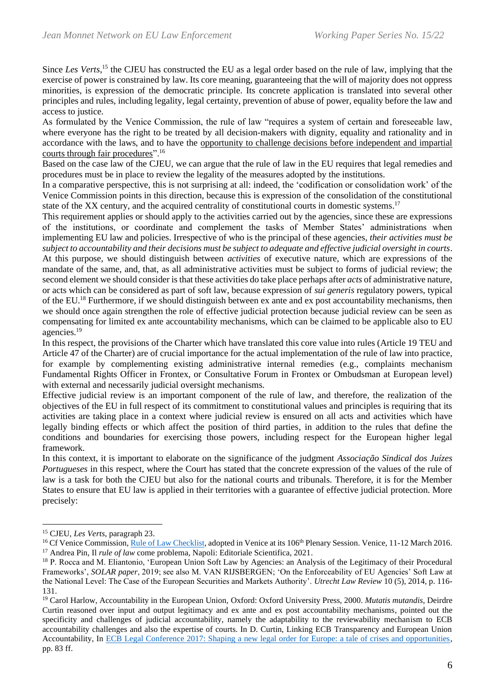Since *Les Verts*,<sup>15</sup> the CJEU has constructed the EU as a legal order based on the rule of law, implying that the exercise of power is constrained by law. Its core meaning, guaranteeing that the will of majority does not oppress minorities, is expression of the democratic principle. Its concrete application is translated into several other principles and rules, including legality, legal certainty, prevention of abuse of power, equality before the law and access to justice.

As formulated by the Venice Commission, the rule of law "requires a system of certain and foreseeable law, where everyone has the right to be treated by all decision-makers with dignity, equality and rationality and in accordance with the laws, and to have the opportunity to challenge decisions before independent and impartial courts through fair procedures".<sup>16</sup>

Based on the case law of the CJEU, we can argue that the rule of law in the EU requires that legal remedies and procedures must be in place to review the legality of the measures adopted by the institutions.

In a comparative perspective, this is not surprising at all: indeed, the 'codification or consolidation work' of the Venice Commission points in this direction, because this is expression of the consolidation of the constitutional state of the XX century, and the acquired centrality of constitutional courts in domestic systems.<sup>17</sup>

This requirement applies or should apply to the activities carried out by the agencies, since these are expressions of the institutions, or coordinate and complement the tasks of Member States' administrations when implementing EU law and policies. Irrespective of who is the principal of these agencies, *their activities must be subject to accountability and their decisions must be subject to adequate and effective judicial oversight in courts*. At this purpose, we should distinguish between *activities* of executive nature, which are expressions of the mandate of the same, and, that, as all administrative activities must be subject to forms of judicial review; the second element we should consider is that these activities do take place perhaps after *acts* of administrative nature, or acts which can be considered as part of soft law, because expression of *sui generis* regulatory powers, typical of the EU.<sup>18</sup> Furthermore, if we should distinguish between ex ante and ex post accountability mechanisms, then we should once again strengthen the role of effective judicial protection because judicial review can be seen as compensating for limited ex ante accountability mechanisms, which can be claimed to be applicable also to EU agencies.<sup>19</sup>

In this respect, the provisions of the Charter which have translated this core value into rules (Article 19 TEU and Article 47 of the Charter) are of crucial importance for the actual implementation of the rule of law into practice, for example by complementing existing administrative internal remedies (e.g., complaints mechanism Fundamental Rights Officer in Frontex, or Consultative Forum in Frontex or Ombudsman at European level) with external and necessarily judicial oversight mechanisms.

Effective judicial review is an important component of the rule of law, and therefore, the realization of the objectives of the EU in full respect of its commitment to constitutional values and principles is requiring that its activities are taking place in a context where judicial review is ensured on all acts and activities which have legally binding effects or which affect the position of third parties, in addition to the rules that define the conditions and boundaries for exercising those powers, including respect for the European higher legal framework.

In this context, it is important to elaborate on the significance of the judgment *Associação Sindical dos Juízes Portugueses* in this respect, where the Court has stated that the concrete expression of the values of the rule of law is a task for both the CJEU but also for the national courts and tribunals. Therefore, it is for the Member States to ensure that EU law is applied in their territories with a guarantee of effective judicial protection. More precisely:

<sup>15</sup> CJEU, *Les Verts*, paragraph 23.

<sup>&</sup>lt;sup>16</sup> Cf Venice Commission, [Rule of Law Checklist,](https://www.venice.coe.int/images/SITE%20IMAGES/Publications/Rule_of_Law_Check_List.pdf) adopted in Venice at its 106<sup>th</sup> Plenary Session. Venice, 11-12 March 2016. <sup>17</sup> Andrea Pin, Il *rule of law* come problema, Napoli: Editoriale Scientifica, 2021.

<sup>&</sup>lt;sup>18</sup> P. Rocca and M. Eliantonio, 'European Union Soft Law by Agencies: an Analysis of the Legitimacy of their Procedural Frameworks', *SOLAR paper*, 2019; see also M. VAN RIJSBERGEN; 'On the Enforceability of EU Agencies' Soft Law at the National Level: The Case of the European Securities and Markets Authority'. *Utrecht Law Review* 10 (5), 2014, p. 116- 131.

<sup>19</sup> Carol Harlow, Accountability in the European Union, Oxford: Oxford University Press, 2000. *Mutatis mutandis*, Deirdre Curtin reasoned over input and output legitimacy and ex ante and ex post accountability mechanisms, pointed out the specificity and challenges of judicial accountability, namely the adaptability to the reviewability mechanism to ECB accountability challenges and also the expertise of courts. In D. Curtin, Linking ECB Transparency and European Union Accountability, In [ECB Legal Conference 2017: Shaping a new legal order for Europe: a tale of crises and opportunities,](https://www.ecb.europa.eu/pub/pdf/other/ecblegalconferenceproceedings201712.en.pdf?b452bb9c54dca55f8f5673b21631a4fe) pp. 83 ff.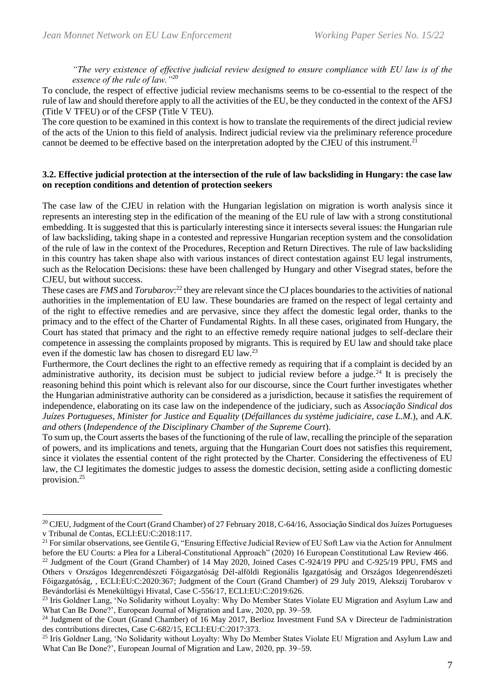*"The very existence of effective judicial review designed to ensure compliance with EU law is of the essence of the rule of law."<sup>20</sup>*

To conclude, the respect of effective judicial review mechanisms seems to be co-essential to the respect of the rule of law and should therefore apply to all the activities of the EU, be they conducted in the context of the AFSJ (Title V TFEU) or of the CFSP (Title V TEU).

The core question to be examined in this context is how to translate the requirements of the direct judicial review of the acts of the Union to this field of analysis. Indirect judicial review via the preliminary reference procedure cannot be deemed to be effective based on the interpretation adopted by the CJEU of this instrument.<sup>21</sup>

#### **3.2. Effective judicial protection at the intersection of the rule of law backsliding in Hungary: the case law on reception conditions and detention of protection seekers**

The case law of the CJEU in relation with the Hungarian legislation on migration is worth analysis since it represents an interesting step in the edification of the meaning of the EU rule of law with a strong constitutional embedding. It is suggested that this is particularly interesting since it intersects several issues: the Hungarian rule of law backsliding, taking shape in a contested and repressive Hungarian reception system and the consolidation of the rule of law in the context of the Procedures, Reception and Return Directives. The rule of law backsliding in this country has taken shape also with various instances of direct contestation against EU legal instruments, such as the Relocation Decisions: these have been challenged by Hungary and other Visegrad states, before the CJEU, but without success.

These cases are *FMS* and *Torubarov*:<sup>22</sup> they are relevant since the CJ places boundaries to the activities of national authorities in the implementation of EU law. These boundaries are framed on the respect of legal certainty and of the right to effective remedies and are pervasive, since they affect the domestic legal order, thanks to the primacy and to the effect of the Charter of Fundamental Rights. In all these cases, originated from Hungary, the Court has stated that primacy and the right to an effective remedy require national judges to self-declare their competence in assessing the complaints proposed by migrants. This is required by EU law and should take place even if the domestic law has chosen to disregard EU law.<sup>23</sup>

Furthermore, the Court declines the right to an effective remedy as requiring that if a complaint is decided by an administrative authority, its decision must be subject to judicial review before a judge.<sup>24</sup> It is precisely the reasoning behind this point which is relevant also for our discourse, since the Court further investigates whether the Hungarian administrative authority can be considered as a jurisdiction, because it satisfies the requirement of independence, elaborating on its case law on the independence of the judiciary, such as *Associação Sindical dos Juízes Portugueses*, *Minister for Justice and Equality* (*Défaillances du système judiciaire, case L.M.*), and *A.K. and others* (*Independence of the Disciplinary Chamber of the Supreme Court*).

To sum up, the Court asserts the bases of the functioning of the rule of law, recalling the principle of the separation of powers, and its implications and tenets, arguing that the Hungarian Court does not satisfies this requirement, since it violates the essential content of the right protected by the Charter. Considering the effectiveness of EU law, the CJ legitimates the domestic judges to assess the domestic decision, setting aside a conflicting domestic provision.<sup>25</sup>

<sup>21</sup> For similar observations, see Gentile G, "Ensuring Effective Judicial Review of EU Soft Law via the Action for Annulment before the EU Courts: a Plea for a Liberal-Constitutional Approach" (2020) 16 European Constitutional Law Review 466.

<sup>&</sup>lt;sup>20</sup> CJEU, Judgment of the Court (Grand Chamber) of 27 February 2018, C-64/16, Associação Sindical dos Juízes Portugueses v Tribunal de Contas, ECLI:EU:C:2018:117.

<sup>&</sup>lt;sup>22</sup> Judgment of the Court (Grand Chamber) of 14 May 2020, Joined Cases C-924/19 PPU and C-925/19 PPU, FMS and Others v Országos Idegenrendészeti Főigazgatóság Dél-alföldi Regionális Igazgatóság and Országos Idegenrendészeti Főigazgatóság, , ECLI:EU:C:2020:367; Judgment of the Court (Grand Chamber) of 29 July 2019, Alekszij Torubarov v Bevándorlási és Menekültügyi Hivatal, Case C-556/17, ECLI:EU:C:2019:626.

<sup>&</sup>lt;sup>23</sup> Iris Goldner Lang, 'No Solidarity without Loyalty: Why Do Member States Violate EU Migration and Asylum Law and What Can Be Done?', European Journal of Migration and Law, 2020, pp. 39–59.

<sup>24</sup> Judgment of the Court (Grand Chamber) of 16 May 2017, Berlioz Investment Fund SA v Directeur de l'administration des contributions directes, Case C-682/15, ECLI:EU:C:2017:373.

<sup>&</sup>lt;sup>25</sup> Iris Goldner Lang, 'No Solidarity without Loyalty: Why Do Member States Violate EU Migration and Asylum Law and What Can Be Done?', European Journal of Migration and Law, 2020, pp. 39–59.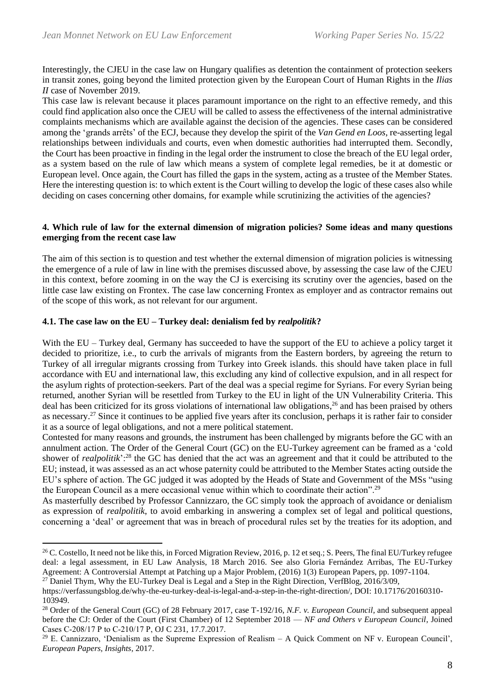Interestingly, the CJEU in the case law on Hungary qualifies as detention the containment of protection seekers in transit zones, going beyond the limited protection given by the European Court of Human Rights in the *Ilias II* case of November 2019.

This case law is relevant because it places paramount importance on the right to an effective remedy, and this could find application also once the CJEU will be called to assess the effectiveness of the internal administrative complaints mechanisms which are available against the decision of the agencies. These cases can be considered among the 'grands arrêts' of the ECJ, because they develop the spirit of the *Van Gend en Loos*, re-asserting legal relationships between individuals and courts, even when domestic authorities had interrupted them. Secondly, the Court has been proactive in finding in the legal order the instrument to close the breach of the EU legal order, as a system based on the rule of law which means a system of complete legal remedies, be it at domestic or European level. Once again, the Court has filled the gaps in the system, acting as a trustee of the Member States. Here the interesting question is: to which extent is the Court willing to develop the logic of these cases also while deciding on cases concerning other domains, for example while scrutinizing the activities of the agencies?

#### **4. Which rule of law for the external dimension of migration policies? Some ideas and many questions emerging from the recent case law**

The aim of this section is to question and test whether the external dimension of migration policies is witnessing the emergence of a rule of law in line with the premises discussed above, by assessing the case law of the CJEU in this context, before zooming in on the way the CJ is exercising its scrutiny over the agencies, based on the little case law existing on Frontex. The case law concerning Frontex as employer and as contractor remains out of the scope of this work, as not relevant for our argument.

## **4.1. The case law on the EU – Turkey deal: denialism fed by** *realpolitik***?**

With the EU – Turkey deal, Germany has succeeded to have the support of the EU to achieve a policy target it decided to prioritize, i.e., to curb the arrivals of migrants from the Eastern borders, by agreeing the return to Turkey of all irregular migrants crossing from Turkey into Greek islands. this should have taken place in full accordance with EU and international law, this excluding any kind of collective expulsion, and in all respect for the asylum rights of protection-seekers. Part of the deal was a special regime for Syrians. For every Syrian being returned, another Syrian will be resettled from Turkey to the EU in light of the UN Vulnerability Criteria. This deal has been criticized for its gross violations of international law obligations, <sup>26</sup> and has been praised by others as necessary.<sup>27</sup> Since it continues to be applied five years after its conclusion, perhaps it is rather fair to consider it as a source of legal obligations, and not a mere political statement.

Contested for many reasons and grounds, the instrument has been challenged by migrants before the GC with an annulment action. The Order of the General Court (GC) on the EU-Turkey agreement can be framed as a 'cold shower of *realpolitik*':<sup>28</sup> the GC has denied that the act was an agreement and that it could be attributed to the EU; instead, it was assessed as an act whose paternity could be attributed to the Member States acting outside the EU's sphere of action. The GC judged it was adopted by the Heads of State and Government of the MSs "using the European Council as a mere occasional venue within which to coordinate their action".<sup>29</sup>

As masterfully described by Professor Cannizzaro, the GC simply took the approach of avoidance or denialism as expression of *realpolitik*, to avoid embarking in answering a complex set of legal and political questions, concerning a 'deal' or agreement that was in breach of procedural rules set by the treaties for its adoption, and

<sup>27</sup> Daniel Thym, Why the EU-Turkey Deal is Legal and a Step in the Right Direction, VerfBlog, 2016/3/09,

<sup>&</sup>lt;sup>26</sup> C. Costello, It need not be like this, in Forced Migration Review, 2016, p. 12 et seq.; S. Peers, The final EU/Turkey refugee deal: a legal assessment, in EU Law Analysis, 18 March 2016. See also Gloria Fernández Arribas, The EU-Turkey Agreement: A Controversial Attempt at Patching up a Major Problem, (2016) 1(3) European Papers, pp. 1097-1104.

https://verfassungsblog.de/why-the-eu-turkey-deal-is-legal-and-a-step-in-the-right-direction/, DOI: 10.17176/20160310- 103949.

<sup>28</sup> Order of the General Court (GC) of 28 February 2017, case T-192/16, *N.F. v. European Council*, and subsequent appeal before the CJ: Order of the Court (First Chamber) of 12 September 2018 — *NF and Others v European Council*, Joined Cases C‑208/17 P to C‑210/17 P, OJ C 231, 17.7.2017.

 $29$  E. Cannizzaro, 'Denialism as the Supreme Expression of Realism – A Quick Comment on NF v. European Council', *European Papers, Insights*, 2017.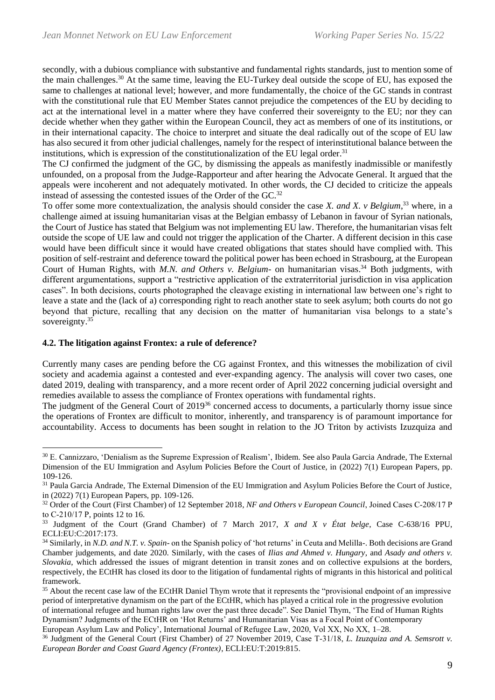secondly, with a dubious compliance with substantive and fundamental rights standards, just to mention some of the main challenges.<sup>30</sup> At the same time, leaving the EU-Turkey deal outside the scope of EU, has exposed the same to challenges at national level; however, and more fundamentally, the choice of the GC stands in contrast with the constitutional rule that EU Member States cannot prejudice the competences of the EU by deciding to act at the international level in a matter where they have conferred their sovereignty to the EU; nor they can decide whether when they gather within the European Council, they act as members of one of its institutions, or in their international capacity. The choice to interpret and situate the deal radically out of the scope of EU law has also secured it from other judicial challenges, namely for the respect of interinstitutional balance between the institutions, which is expression of the constitutionalization of the EU legal order.<sup>31</sup>

The CJ confirmed the judgment of the GC, by dismissing the appeals as manifestly inadmissible or manifestly unfounded, on a proposal from the Judge-Rapporteur and after hearing the Advocate General. It argued that the appeals were incoherent and not adequately motivated. In other words, the CJ decided to criticize the appeals instead of assessing the contested issues of the Order of the GC.<sup>32</sup>

To offer some more contextualization, the analysis should consider the case *X. and X. v Belgium*,<sup>33</sup> where, in a challenge aimed at issuing humanitarian visas at the Belgian embassy of Lebanon in favour of Syrian nationals, the Court of Justice has stated that Belgium was not implementing EU law. Therefore, the humanitarian visas felt outside the scope of UE law and could not trigger the application of the Charter. A different decision in this case would have been difficult since it would have created obligations that states should have complied with. This position of self-restraint and deference toward the political power has been echoed in Strasbourg, at the European Court of Human Rights, with *M.N. and Others v. Belgium*- on humanitarian visas. <sup>34</sup> Both judgments, with different argumentations, support a "restrictive application of the extraterritorial jurisdiction in visa application cases". In both decisions, courts photographed the cleavage existing in international law between one's right to leave a state and the (lack of a) corresponding right to reach another state to seek asylum; both courts do not go beyond that picture, recalling that any decision on the matter of humanitarian visa belongs to a state's sovereignty.<sup>35</sup>

## **4.2. The litigation against Frontex: a rule of deference?**

Currently many cases are pending before the CG against Frontex, and this witnesses the mobilization of civil society and academia against a contested and ever-expanding agency. The analysis will cover two cases, one dated 2019, dealing with transparency, and a more recent order of April 2022 concerning judicial oversight and remedies available to assess the compliance of Frontex operations with fundamental rights.

The judgment of the General Court of 2019<sup>36</sup> concerned access to documents, a particularly thorny issue since the operations of Frontex are difficult to monitor, inherently, and transparency is of paramount importance for accountability. Access to documents has been sought in relation to the JO Triton by activists Izuzquiza and

<sup>30</sup> E. Cannizzaro, 'Denialism as the Supreme Expression of Realism', Ibidem. See also Paula Garcia Andrade, The External Dimension of the EU Immigration and Asylum Policies Before the Court of Justice, in (2022) 7(1) European Papers, pp. 109-126.

<sup>&</sup>lt;sup>31</sup> Paula Garcia Andrade, The External Dimension of the EU Immigration and Asylum Policies Before the Court of Justice, in (2022) 7(1) European Papers, pp. 109-126.

<sup>&</sup>lt;sup>32</sup> Order of the Court (First Chamber) of 12 September 2018, *NF and Others v European Council*, Joined Cases C-208/17 P to C‑210/17 P, points 12 to 16.

<sup>33</sup> Judgment of the Court (Grand Chamber) of 7 March 2017, *X and X v État belge*, Case C-638/16 PPU, ECLI:EU:C:2017:173.

<sup>34</sup> Similarly, in *N.D. and N.T. v. Spain*- on the Spanish policy of 'hot returns' in Ceuta and Melilla-. Both decisions are Grand Chamber judgements, and date 2020. Similarly, with the cases of *Ilias and Ahmed v. Hungary*, and *Asady and others v. Slovakia*, which addressed the issues of migrant detention in transit zones and on collective expulsions at the borders, respectively, the ECtHR has closed its door to the litigation of fundamental rights of migrants in this historical and political framework.

<sup>&</sup>lt;sup>35</sup> About the recent case law of the ECtHR Daniel Thym wrote that it represents the "provisional endpoint of an impressive period of interpretative dynamism on the part of the ECtHR, which has played a critical role in the progressive evolution of international refugee and human rights law over the past three decade". See Daniel Thym, 'The End of Human Rights Dynamism? Judgments of the ECtHR on 'Hot Returns' and Humanitarian Visas as a Focal Point of Contemporary European Asylum Law and Policy', International Journal of Refugee Law, 2020, Vol XX, No XX, 1–28.

<sup>36</sup> Judgment of the General Court (First Chamber) of 27 November 2019, Case T‑31/18, *L. Izuzquiza and A. Semsrott v. European Border and Coast Guard Agency (Frontex)*, ECLI:EU:T:2019:815.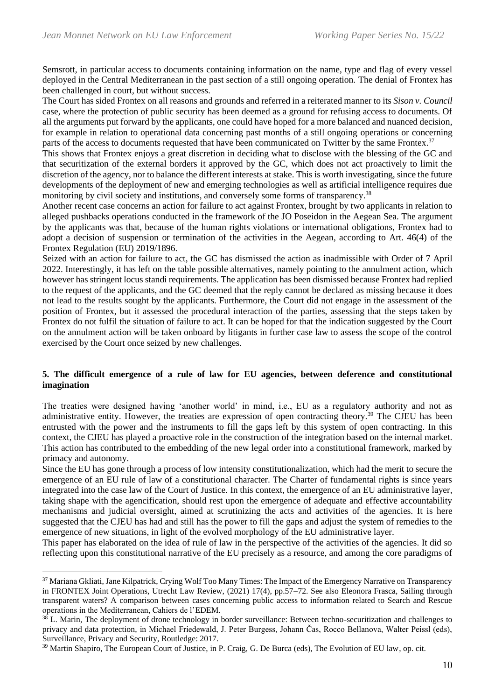Semsrott, in particular access to documents containing information on the name, type and flag of every vessel deployed in the Central Mediterranean in the past section of a still ongoing operation. The denial of Frontex has been challenged in court, but without success.

The Court has sided Frontex on all reasons and grounds and referred in a reiterated manner to its *Sison v. Council* case, where the protection of public security has been deemed as a ground for refusing access to documents. Of all the arguments put forward by the applicants, one could have hoped for a more balanced and nuanced decision, for example in relation to operational data concerning past months of a still ongoing operations or concerning parts of the access to documents requested that have been communicated on Twitter by the same Frontex.<sup>37</sup>

This shows that Frontex enjoys a great discretion in deciding what to disclose with the blessing of the GC and that securitization of the external borders it approved by the GC, which does not act proactively to limit the discretion of the agency, nor to balance the different interests at stake. This is worth investigating, since the future developments of the deployment of new and emerging technologies as well as artificial intelligence requires due monitoring by civil society and institutions, and conversely some forms of transparency.<sup>38</sup>

Another recent case concerns an action for failure to act against Frontex, brought by two applicants in relation to alleged pushbacks operations conducted in the framework of the JO Poseidon in the Aegean Sea. The argument by the applicants was that, because of the human rights violations or international obligations, Frontex had to adopt a decision of suspension or termination of the activities in the Aegean, according to Art. 46(4) of the Frontex Regulation (EU) 2019/1896.

Seized with an action for failure to act, the GC has dismissed the action as inadmissible with Order of 7 April 2022. Interestingly, it has left on the table possible alternatives, namely pointing to the annulment action, which however has stringent locus standi requirements. The application has been dismissed because Frontex had replied to the request of the applicants, and the GC deemed that the reply cannot be declared as missing because it does not lead to the results sought by the applicants. Furthermore, the Court did not engage in the assessment of the position of Frontex, but it assessed the procedural interaction of the parties, assessing that the steps taken by Frontex do not fulfil the situation of failure to act. It can be hoped for that the indication suggested by the Court on the annulment action will be taken onboard by litigants in further case law to assess the scope of the control exercised by the Court once seized by new challenges.

## **5. The difficult emergence of a rule of law for EU agencies, between deference and constitutional imagination**

The treaties were designed having 'another world' in mind, i.e., EU as a regulatory authority and not as administrative entity. However, the treaties are expression of open contracting theory.<sup>39</sup> The CJEU has been entrusted with the power and the instruments to fill the gaps left by this system of open contracting. In this context, the CJEU has played a proactive role in the construction of the integration based on the internal market. This action has contributed to the embedding of the new legal order into a constitutional framework, marked by primacy and autonomy.

Since the EU has gone through a process of low intensity constitutionalization, which had the merit to secure the emergence of an EU rule of law of a constitutional character. The Charter of fundamental rights is since years integrated into the case law of the Court of Justice. In this context, the emergence of an EU administrative layer, taking shape with the agencification, should rest upon the emergence of adequate and effective accountability mechanisms and judicial oversight, aimed at scrutinizing the acts and activities of the agencies. It is here suggested that the CJEU has had and still has the power to fill the gaps and adjust the system of remedies to the emergence of new situations, in light of the evolved morphology of the EU administrative layer.

This paper has elaborated on the idea of rule of law in the perspective of the activities of the agencies. It did so reflecting upon this constitutional narrative of the EU precisely as a resource, and among the core paradigms of

<sup>&</sup>lt;sup>37</sup> Mariana Gkliati, Jane Kilpatrick, Crving Wolf Too Many Times: The Impact of the Emergency Narrative on Transparency in FRONTEX Joint Operations, Utrecht Law Review, (2021) 17(4), pp.57–72. See also Eleonora Frasca, Sailing through transparent waters? A comparison between cases concerning public access to information related to Search and Rescue operations in the Mediterranean, Cahiers de l'EDEM.

 $38$  L. Marin, The deployment of drone technology in border surveillance: Between techno-securitization and challenges to privacy and data protection, in Michael Friedewald, J. Peter Burgess, Johann Čas, Rocco Bellanova, Walter Peissl (eds), Surveillance, Privacy and Security, Routledge: 2017.

<sup>&</sup>lt;sup>39</sup> Martin Shapiro, The European Court of Justice, in P. Craig, G. De Burca (eds), The Evolution of EU law, op. cit.